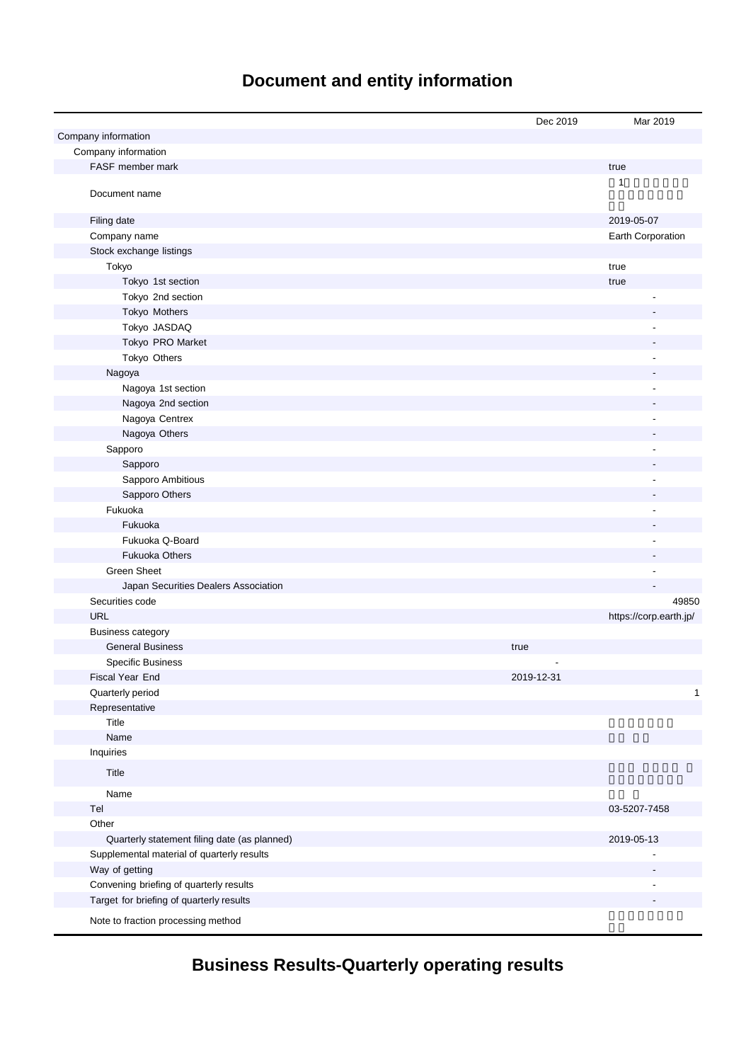# **Document and entity information**

|                                              | Dec 2019   | Mar 2019               |
|----------------------------------------------|------------|------------------------|
| Company information                          |            |                        |
| Company information                          |            |                        |
| FASF member mark                             |            | true                   |
| Document name                                |            | 1                      |
| Filing date                                  |            | 2019-05-07             |
| Company name                                 |            | Earth Corporation      |
| Stock exchange listings                      |            |                        |
| Tokyo                                        |            | true                   |
| Tokyo 1st section                            |            | true                   |
| Tokyo 2nd section                            |            |                        |
| Tokyo Mothers                                |            |                        |
| Tokyo JASDAQ                                 |            |                        |
| Tokyo PRO Market                             |            |                        |
| Tokyo Others                                 |            |                        |
| Nagoya                                       |            |                        |
| Nagoya 1st section                           |            | ÷,                     |
| Nagoya 2nd section                           |            |                        |
| Nagoya Centrex                               |            |                        |
| Nagoya Others                                |            |                        |
| Sapporo                                      |            |                        |
| Sapporo                                      |            |                        |
| Sapporo Ambitious                            |            |                        |
| Sapporo Others                               |            |                        |
| Fukuoka                                      |            |                        |
| Fukuoka                                      |            |                        |
| Fukuoka Q-Board                              |            |                        |
| <b>Fukuoka Others</b>                        |            |                        |
| <b>Green Sheet</b>                           |            |                        |
| Japan Securities Dealers Association         |            |                        |
| Securities code                              |            | 49850                  |
| <b>URL</b>                                   |            | https://corp.earth.jp/ |
| <b>Business category</b>                     |            |                        |
| <b>General Business</b>                      | true       |                        |
| <b>Specific Business</b>                     |            |                        |
| Fiscal Year End                              | 2019-12-31 |                        |
| Quarterly period                             |            | $\mathbf{1}$           |
| Representative                               |            |                        |
| Title                                        |            |                        |
| Name                                         |            |                        |
| Inquiries                                    |            |                        |
| Title                                        |            |                        |
| Name                                         |            |                        |
| Tel                                          |            | 03-5207-7458           |
| Other                                        |            |                        |
| Quarterly statement filing date (as planned) |            | 2019-05-13             |
| Supplemental material of quarterly results   |            |                        |
| Way of getting                               |            |                        |
| Convening briefing of quarterly results      |            |                        |
| Target for briefing of quarterly results     |            |                        |
| Note to fraction processing method           |            |                        |

**Business Results-Quarterly operating results**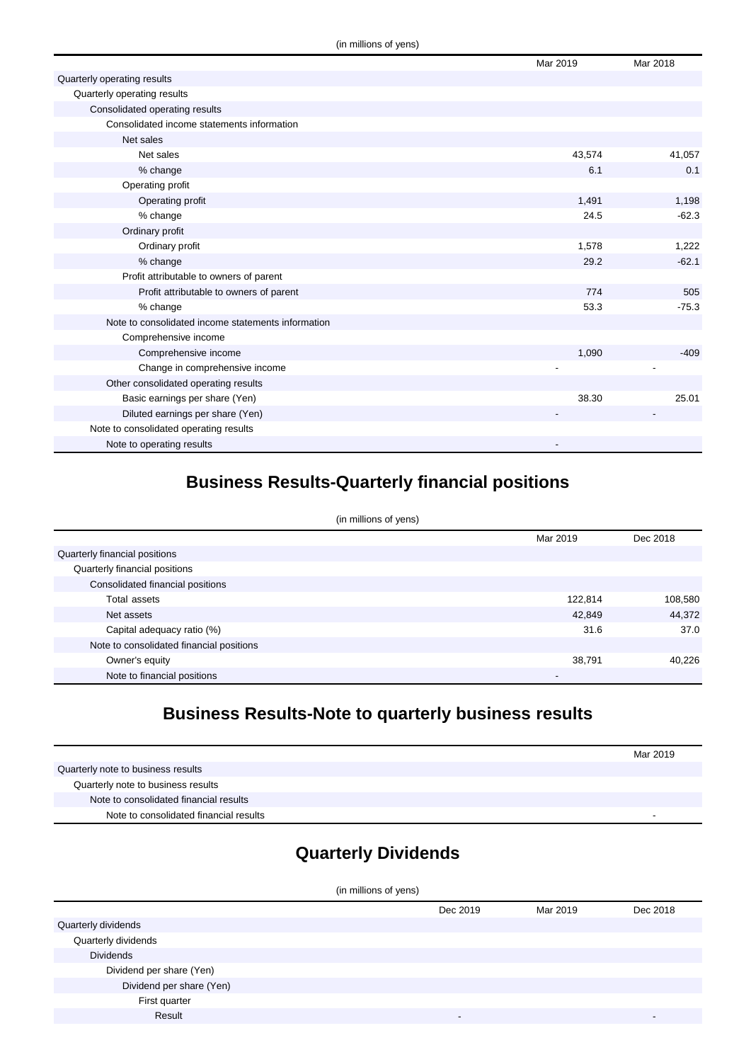|                                                    | Mar 2019 | Mar 2018 |
|----------------------------------------------------|----------|----------|
| Quarterly operating results                        |          |          |
| Quarterly operating results                        |          |          |
| Consolidated operating results                     |          |          |
| Consolidated income statements information         |          |          |
| Net sales                                          |          |          |
| Net sales                                          | 43,574   | 41,057   |
| % change                                           | 6.1      | 0.1      |
| Operating profit                                   |          |          |
| Operating profit                                   | 1,491    | 1,198    |
| % change                                           | 24.5     | $-62.3$  |
| Ordinary profit                                    |          |          |
| Ordinary profit                                    | 1,578    | 1,222    |
| % change                                           | 29.2     | $-62.1$  |
| Profit attributable to owners of parent            |          |          |
| Profit attributable to owners of parent            | 774      | 505      |
| % change                                           | 53.3     | $-75.3$  |
| Note to consolidated income statements information |          |          |
| Comprehensive income                               |          |          |
| Comprehensive income                               | 1,090    | $-409$   |
| Change in comprehensive income                     |          |          |
| Other consolidated operating results               |          |          |
| Basic earnings per share (Yen)                     | 38.30    | 25.01    |
| Diluted earnings per share (Yen)                   |          |          |
| Note to consolidated operating results             |          |          |
| Note to operating results                          |          |          |

# **Business Results-Quarterly financial positions**

| (in millions of yens)                    |          |          |  |
|------------------------------------------|----------|----------|--|
|                                          | Mar 2019 | Dec 2018 |  |
| Quarterly financial positions            |          |          |  |
| Quarterly financial positions            |          |          |  |
| Consolidated financial positions         |          |          |  |
| Total assets                             | 122,814  | 108,580  |  |
| Net assets                               | 42,849   | 44,372   |  |
| Capital adequacy ratio (%)               | 31.6     | 37.0     |  |
| Note to consolidated financial positions |          |          |  |
| Owner's equity                           | 38,791   | 40.226   |  |
| Note to financial positions              | -        |          |  |

## **Business Results-Note to quarterly business results**

|                                        | Mar 2019 |
|----------------------------------------|----------|
| Quarterly note to business results     |          |
| Quarterly note to business results     |          |
| Note to consolidated financial results |          |
| Note to consolidated financial results | -        |

## **Quarterly Dividends**

| Dec 2018 |
|----------|
|          |
|          |
|          |
|          |
|          |
|          |
| -        |
|          |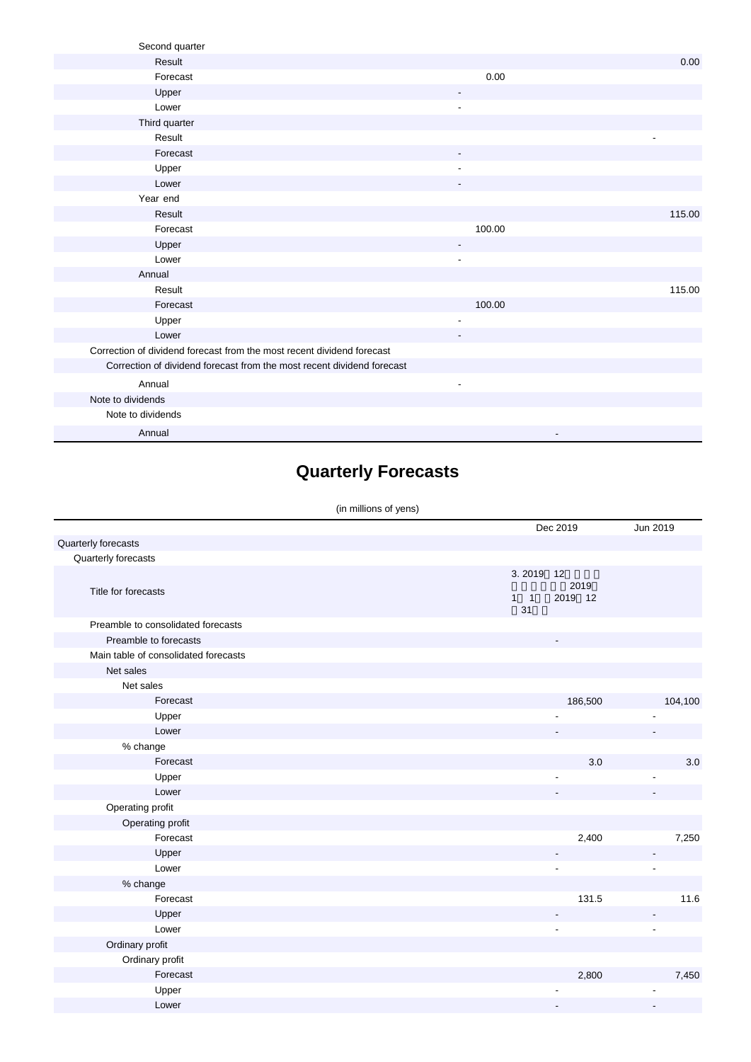| Second quarter                                                         |                          |        |
|------------------------------------------------------------------------|--------------------------|--------|
| Result                                                                 |                          | 0.00   |
| Forecast                                                               | 0.00                     |        |
| Upper                                                                  |                          |        |
| Lower                                                                  | $\overline{\phantom{a}}$ |        |
| Third quarter                                                          |                          |        |
| Result                                                                 |                          |        |
| Forecast                                                               | $\overline{\phantom{a}}$ |        |
| Upper                                                                  |                          |        |
| Lower                                                                  |                          |        |
| Year end                                                               |                          |        |
| Result                                                                 |                          | 115.00 |
| Forecast                                                               | 100.00                   |        |
| Upper                                                                  | $\overline{\phantom{a}}$ |        |
| Lower                                                                  |                          |        |
| Annual                                                                 |                          |        |
| Result                                                                 |                          | 115.00 |
| Forecast                                                               | 100.00                   |        |
| Upper                                                                  | $\overline{\phantom{a}}$ |        |
| Lower                                                                  |                          |        |
| Correction of dividend forecast from the most recent dividend forecast |                          |        |
| Correction of dividend forecast from the most recent dividend forecast |                          |        |
| Annual                                                                 | $\overline{\phantom{a}}$ |        |
| Note to dividends                                                      |                          |        |
| Note to dividends                                                      |                          |        |
| Annual                                                                 |                          |        |

# **Quarterly Forecasts**

#### (in millions of yens)

|                                      |                       | Dec 2019                 | Jun 2019       |
|--------------------------------------|-----------------------|--------------------------|----------------|
| Quarterly forecasts                  |                       |                          |                |
| Quarterly forecasts                  |                       |                          |                |
| Title for forecasts                  | 3.2019<br>$1 \quad 1$ | 12<br>2019<br>2019 12    |                |
| Preamble to consolidated forecasts   | 31                    |                          |                |
| Preamble to forecasts                |                       | $\overline{\phantom{a}}$ |                |
| Main table of consolidated forecasts |                       |                          |                |
| Net sales                            |                       |                          |                |
| Net sales                            |                       |                          |                |
| Forecast                             |                       | 186,500                  | 104,100        |
| Upper                                |                       |                          |                |
| Lower                                |                       |                          |                |
| % change                             |                       |                          |                |
| Forecast                             |                       | 3.0                      | 3.0            |
| Upper                                |                       |                          |                |
| Lower                                |                       |                          |                |
| Operating profit                     |                       |                          |                |
| Operating profit                     |                       |                          |                |
| Forecast                             |                       | 2,400                    | 7,250          |
| Upper                                |                       |                          |                |
| Lower                                |                       |                          | ÷,             |
| % change                             |                       |                          |                |
| Forecast                             |                       | 131.5                    | 11.6           |
| Upper                                |                       |                          |                |
| Lower                                |                       | $\overline{\phantom{a}}$ | $\overline{a}$ |
| Ordinary profit                      |                       |                          |                |
| Ordinary profit                      |                       |                          |                |
| Forecast                             |                       | 2,800                    | 7,450          |
| Upper                                |                       |                          |                |
| Lower                                |                       |                          |                |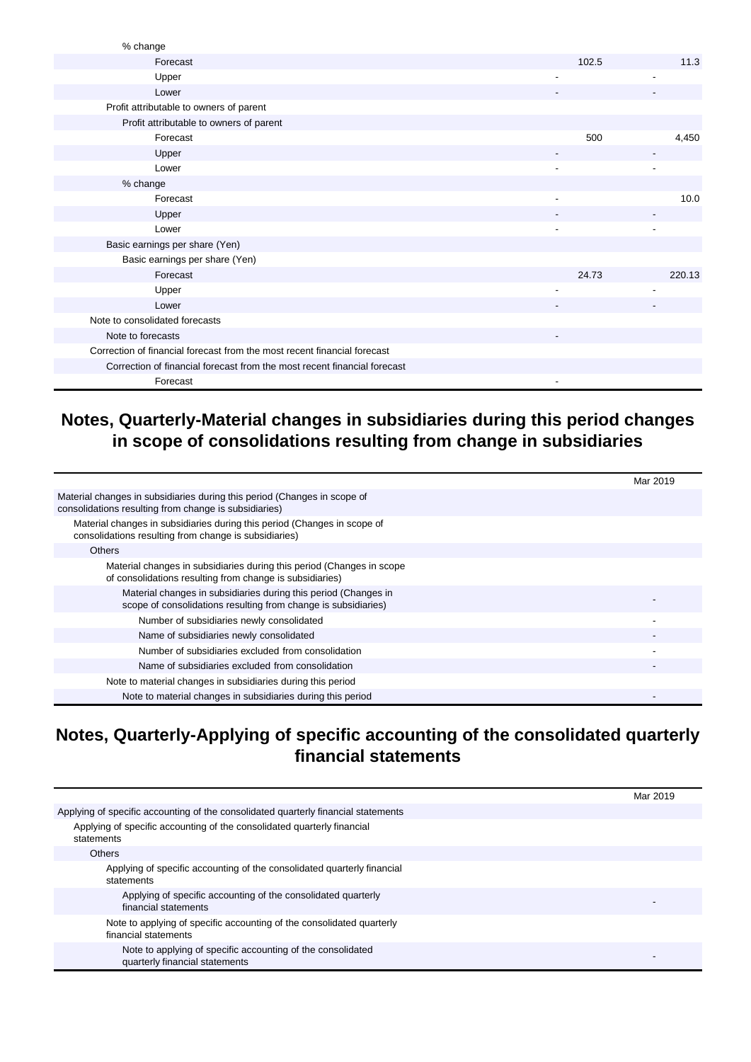| % change                                                                 |       |        |
|--------------------------------------------------------------------------|-------|--------|
| Forecast                                                                 | 102.5 | 11.3   |
| Upper                                                                    | ٠     |        |
| Lower                                                                    |       |        |
| Profit attributable to owners of parent                                  |       |        |
| Profit attributable to owners of parent                                  |       |        |
| Forecast                                                                 | 500   | 4,450  |
| Upper                                                                    |       |        |
| Lower                                                                    |       |        |
| % change                                                                 |       |        |
| Forecast                                                                 |       | 10.0   |
| Upper                                                                    |       |        |
| Lower                                                                    |       |        |
| Basic earnings per share (Yen)                                           |       |        |
| Basic earnings per share (Yen)                                           |       |        |
| Forecast                                                                 | 24.73 | 220.13 |
| Upper                                                                    |       |        |
| Lower                                                                    |       |        |
| Note to consolidated forecasts                                           |       |        |
| Note to forecasts                                                        |       |        |
| Correction of financial forecast from the most recent financial forecast |       |        |
| Correction of financial forecast from the most recent financial forecast |       |        |
| Forecast                                                                 |       |        |

### **Notes, Quarterly-Material changes in subsidiaries during this period changes in scope of consolidations resulting from change in subsidiaries**

|                                                                                                                                   | Mar 2019 |
|-----------------------------------------------------------------------------------------------------------------------------------|----------|
| Material changes in subsidiaries during this period (Changes in scope of<br>consolidations resulting from change is subsidiaries) |          |
| Material changes in subsidiaries during this period (Changes in scope of<br>consolidations resulting from change is subsidiaries) |          |
| <b>Others</b>                                                                                                                     |          |
| Material changes in subsidiaries during this period (Changes in scope<br>of consolidations resulting from change is subsidiaries) |          |
| Material changes in subsidiaries during this period (Changes in<br>scope of consolidations resulting from change is subsidiaries) |          |
| Number of subsidiaries newly consolidated                                                                                         |          |
| Name of subsidiaries newly consolidated                                                                                           |          |
| Number of subsidiaries excluded from consolidation                                                                                |          |
| Name of subsidiaries excluded from consolidation                                                                                  |          |
| Note to material changes in subsidiaries during this period                                                                       |          |
| Note to material changes in subsidiaries during this period                                                                       |          |

### **Notes, Quarterly-Applying of specific accounting of the consolidated quarterly financial statements**

|                                                                                               | Mar 2019 |
|-----------------------------------------------------------------------------------------------|----------|
| Applying of specific accounting of the consolidated quarterly financial statements            |          |
| Applying of specific accounting of the consolidated quarterly financial<br>statements         |          |
| Others                                                                                        |          |
| Applying of specific accounting of the consolidated quarterly financial<br>statements         |          |
| Applying of specific accounting of the consolidated quarterly<br>financial statements         |          |
| Note to applying of specific accounting of the consolidated quarterly<br>financial statements |          |
| Note to applying of specific accounting of the consolidated<br>quarterly financial statements |          |